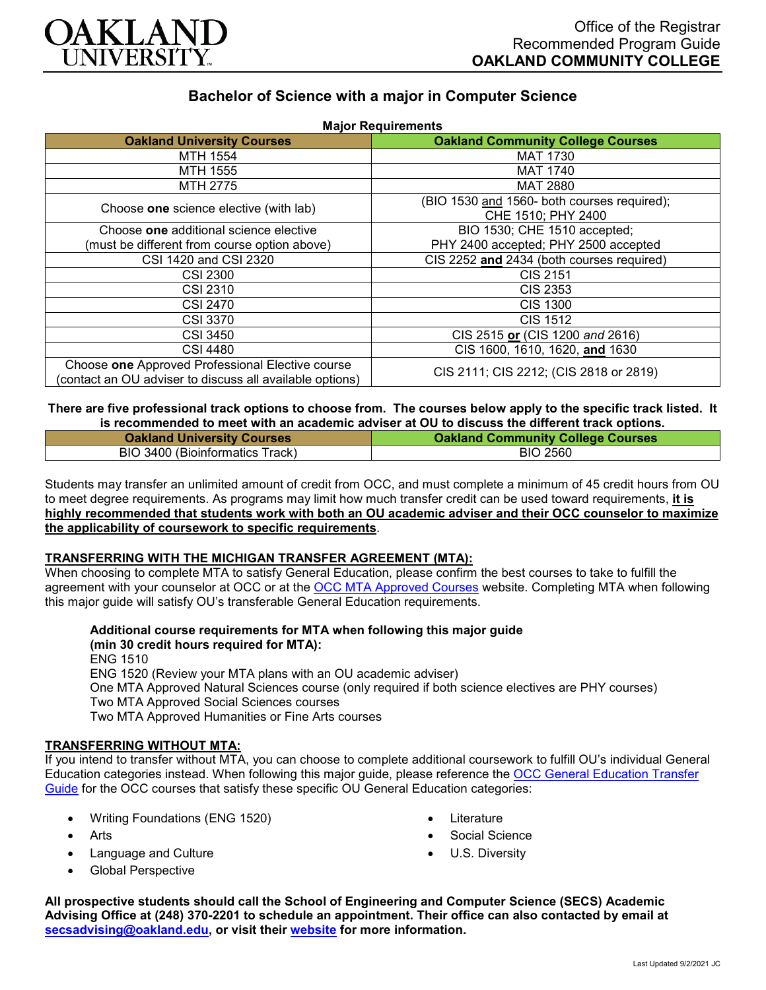

# **Bachelor of Science with a major in Computer Science**

| <b>Major Requirements</b>                                                                                    |                                             |
|--------------------------------------------------------------------------------------------------------------|---------------------------------------------|
| <b>Oakland University Courses</b>                                                                            | <b>Oakland Community College Courses</b>    |
| MTH 1554                                                                                                     | <b>MAT 1730</b>                             |
| MTH 1555                                                                                                     | <b>MAT 1740</b>                             |
| MTH 2775                                                                                                     | <b>MAT 2880</b>                             |
| Choose one science elective (with lab)                                                                       | (BIO 1530 and 1560- both courses required); |
|                                                                                                              | CHE 1510; PHY 2400                          |
| Choose one additional science elective                                                                       | BIO 1530; CHE 1510 accepted;                |
| (must be different from course option above)                                                                 | PHY 2400 accepted; PHY 2500 accepted        |
| CSI 1420 and CSI 2320                                                                                        | CIS 2252 and 2434 (both courses required)   |
| <b>CSI 2300</b>                                                                                              | CIS 2151                                    |
| <b>CSI 2310</b>                                                                                              | CIS 2353                                    |
| <b>CSI 2470</b>                                                                                              | CIS 1300                                    |
| <b>CSI 3370</b>                                                                                              | <b>CIS 1512</b>                             |
| CSI 3450                                                                                                     | CIS 2515 or (CIS 1200 and 2616)             |
| <b>CSI 4480</b>                                                                                              | CIS 1600, 1610, 1620, and 1630              |
| Choose one Approved Professional Elective course<br>(contact an OU adviser to discuss all available options) | CIS 2111; CIS 2212; (CIS 2818 or 2819)      |

**There are five professional track options to choose from. The courses below apply to the specific track listed. It is recommended to meet with an academic adviser at OU to discuss the different track options.**

| <b>Oakland University Courses</b> | <b>Oakland Community College Courses</b> |
|-----------------------------------|------------------------------------------|
| BIO 3400 (Bioinformatics Track)   | <b>BIO 2560</b>                          |

Students may transfer an unlimited amount of credit from OCC, and must complete a minimum of 45 credit hours from OU to meet degree requirements. As programs may limit how much transfer credit can be used toward requirements, **it is highly recommended that students work with both an OU academic adviser and their OCC counselor to maximize the applicability of coursework to specific requirements**.

## **TRANSFERRING WITH THE MICHIGAN TRANSFER AGREEMENT (MTA):**

When choosing to complete MTA to satisfy General Education, please confirm the best courses to take to fulfill the agreement with your counselor at OCC or at the [OCC MTA Approved Courses](http://catalog.oaklandcc.edu/graduation-requirements/michigan-transfer-agreement/) website. Completing MTA when following this major guide will satisfy OU's transferable General Education requirements.

**Additional course requirements for MTA when following this major guide (min 30 credit hours required for MTA):**

ENG 1510 ENG 1520 (Review your MTA plans with an OU academic adviser) One MTA Approved Natural Sciences course (only required if both science electives are PHY courses) Two MTA Approved Social Sciences courses Two MTA Approved Humanities or Fine Arts courses

#### **TRANSFERRING WITHOUT MTA:**

If you intend to transfer without MTA, you can choose to complete additional coursework to fulfill OU's individual General Education categories instead. When following this major guide, please reference the [OCC General Education Transfer](https://www.oakland.edu/Assets/Oakland/program-guides/oakland-community-college/university-general-education-requirements/OCC%20Gen%20Ed.pdf)  [Guide](https://www.oakland.edu/Assets/Oakland/program-guides/oakland-community-college/university-general-education-requirements/OCC%20Gen%20Ed.pdf) for the OCC courses that satisfy these specific OU General Education categories:

- Writing Foundations (ENG 1520)
- Arts
- Language and Culture
- Global Perspective
- **Literature**
- Social Science
- U.S. Diversity

**All prospective students should call the School of Engineering and Computer Science (SECS) Academic Advising Office at (248) 370-2201 to schedule an appointment. Their office can also contacted by email at [secsadvising@oakland.edu,](mailto:secsadvising@oakland.edu) or visit their [website](https://wwwp.oakland.edu/secs/advising/) for more information.**